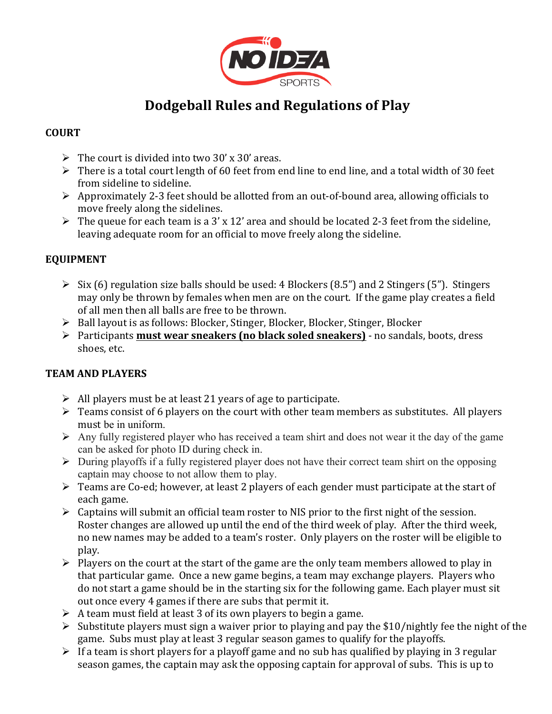

# **Dodgeball Rules and Regulations of Play**

### **COURT**

- $\triangleright$  The court is divided into two 30' x 30' areas.
- $\triangleright$  There is a total court length of 60 feet from end line to end line, and a total width of 30 feet from sideline to sideline.
- $\triangleright$  Approximately 2-3 feet should be allotted from an out-of-bound area, allowing officials to move freely along the sidelines.
- $\triangleright$  The queue for each team is a 3' x 12' area and should be located 2-3 feet from the sideline, leaving adequate room for an official to move freely along the sideline.

# **EQUIPMENT**

- $\triangleright$  Six (6) regulation size balls should be used: 4 Blockers (8.5") and 2 Stingers (5"). Stingers may only be thrown by females when men are on the court. If the game play creates a field of all men then all balls are free to be thrown.
- $\triangleright$  Ball layout is as follows: Blocker, Stinger, Blocker, Blocker, Stinger, Blocker
- **►** Participants **must wear sneakers (no black soled sneakers)** no sandals, boots, dress shoes, etc.

# **TEAM AND PLAYERS**

- $\triangleright$  All players must be at least 21 years of age to participate.
- $\triangleright$  Teams consist of 6 players on the court with other team members as substitutes. All players must be in uniform.
- $\triangleright$  Any fully registered player who has received a team shirt and does not wear it the day of the game can be asked for photo ID during check in.
- $\triangleright$  During playoffs if a fully registered player does not have their correct team shirt on the opposing captain may choose to not allow them to play.
- $\triangleright$  Teams are Co-ed; however, at least 2 players of each gender must participate at the start of each game.
- $\triangleright$  Captains will submit an official team roster to NIS prior to the first night of the session. Roster changes are allowed up until the end of the third week of play. After the third week, no new names may be added to a team's roster. Only players on the roster will be eligible to play.
- $\triangleright$  Players on the court at the start of the game are the only team members allowed to play in that particular game. Once a new game begins, a team may exchange players. Players who do not start a game should be in the starting six for the following game. Each player must sit out once every 4 games if there are subs that permit it.
- $\triangleright$  A team must field at least 3 of its own players to begin a game.
- $\triangleright$  Substitute players must sign a waiver prior to playing and pay the \$10/nightly fee the night of the game. Subs must play at least 3 regular season games to qualify for the playoffs.
- $\triangleright$  If a team is short players for a playoff game and no sub has qualified by playing in 3 regular season games, the captain may ask the opposing captain for approval of subs. This is up to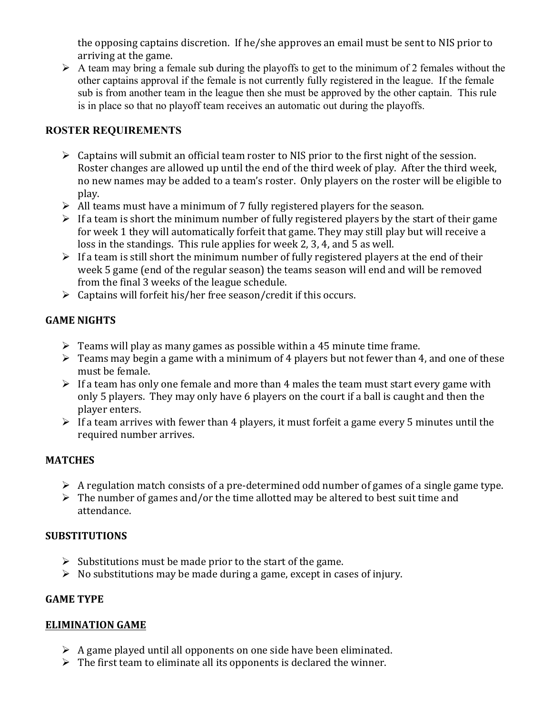the opposing captains discretion. If he/she approves an email must be sent to NIS prior to arriving at the game.

 $\triangleright$  A team may bring a female sub during the playoffs to get to the minimum of 2 females without the other captains approval if the female is not currently fully registered in the league. If the female sub is from another team in the league then she must be approved by the other captain. This rule is in place so that no playoff team receives an automatic out during the playoffs.

### **ROSTER REQUIREMENTS**

- $\triangleright$  Captains will submit an official team roster to NIS prior to the first night of the session. Roster changes are allowed up until the end of the third week of play. After the third week, no new names may be added to a team's roster. Only players on the roster will be eligible to play.
- $\triangleright$  All teams must have a minimum of 7 fully registered players for the season.
- $\triangleright$  If a team is short the minimum number of fully registered players by the start of their game for week 1 they will automatically forfeit that game. They may still play but will receive a loss in the standings. This rule applies for week 2, 3, 4, and 5 as well.
- $\triangleright$  If a team is still short the minimum number of fully registered players at the end of their week 5 game (end of the regular season) the teams season will end and will be removed from the final 3 weeks of the league schedule.
- $\triangleright$  Captains will forfeit his/her free season/credit if this occurs.

# **GAME NIGHTS**

- $\triangleright$  Teams will play as many games as possible within a 45 minute time frame.
- $\triangleright$  Teams may begin a game with a minimum of 4 players but not fewer than 4, and one of these must be female.
- $\triangleright$  If a team has only one female and more than 4 males the team must start every game with only 5 players. They may only have 6 players on the court if a ball is caught and then the player enters.
- $\triangleright$  If a team arrives with fewer than 4 players, it must forfeit a game every 5 minutes until the required number arrives.

# **MATCHES**

- $\triangleright$  A regulation match consists of a pre-determined odd number of games of a single game type.
- $\triangleright$  The number of games and/or the time allotted may be altered to best suit time and attendance.

# **SUBSTITUTIONS**

- $\triangleright$  Substitutions must be made prior to the start of the game.
- $\triangleright$  No substitutions may be made during a game, except in cases of injury.

# **GAME TYPE**

### **ELIMINATION GAME**

- $\triangleright$  A game played until all opponents on one side have been eliminated.
- $\triangleright$  The first team to eliminate all its opponents is declared the winner.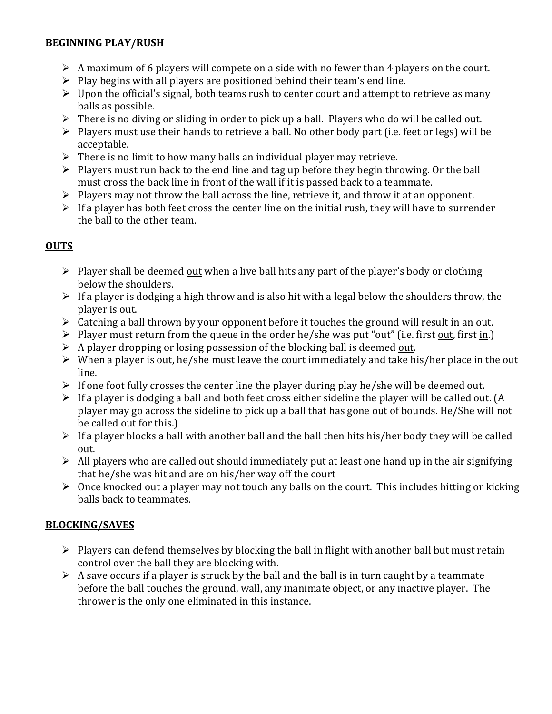#### **BEGINNING PLAY/RUSH**

- $\triangleright$  A maximum of 6 players will compete on a side with no fewer than 4 players on the court.
- $\triangleright$  Play begins with all players are positioned behind their team's end line.
- $\triangleright$  Upon the official's signal, both teams rush to center court and attempt to retrieve as many balls as possible.
- $\triangleright$  There is no diving or sliding in order to pick up a ball. Players who do will be called out.
- $\triangleright$  Players must use their hands to retrieve a ball. No other body part (i.e. feet or legs) will be acceptable.
- $\triangleright$  There is no limit to how many balls an individual player may retrieve.
- $\triangleright$  Players must run back to the end line and tag up before they begin throwing. Or the ball must cross the back line in front of the wall if it is passed back to a teammate.
- $\triangleright$  Players may not throw the ball across the line, retrieve it, and throw it at an opponent.
- $\triangleright$  If a player has both feet cross the center line on the initial rush, they will have to surrender the ball to the other team.

### **OUTS**

- $\triangleright$  Player shall be deemed out when a live ball hits any part of the player's body or clothing below the shoulders.
- $\triangleright$  If a player is dodging a high throw and is also hit with a legal below the shoulders throw, the player is out.
- $\triangleright$  Catching a ball thrown by your opponent before it touches the ground will result in an out.
- $\triangleright$  Player must return from the queue in the order he/she was put "out" (i.e. first out, first in.)
- $\triangleright$  A player dropping or losing possession of the blocking ball is deemed out.
- $\triangleright$  When a player is out, he/she must leave the court immediately and take his/her place in the out line.
- $\triangleright$  If one foot fully crosses the center line the player during play he/she will be deemed out.
- $\triangleright$  If a player is dodging a ball and both feet cross either sideline the player will be called out. (A player may go across the sideline to pick up a ball that has gone out of bounds. He/She will not be called out for this.)
- $\triangleright$  If a player blocks a ball with another ball and the ball then hits his/her body they will be called out.
- $\triangleright$  All players who are called out should immediately put at least one hand up in the air signifying that he/she was hit and are on his/her way off the court
- $\triangleright$  Once knocked out a player may not touch any balls on the court. This includes hitting or kicking balls back to teammates.

### **BLOCKING/SAVES**

- $\triangleright$  Players can defend themselves by blocking the ball in flight with another ball but must retain control over the ball they are blocking with.
- $\triangleright$  A save occurs if a player is struck by the ball and the ball is in turn caught by a teammate before the ball touches the ground, wall, any inanimate object, or any inactive player. The thrower is the only one eliminated in this instance.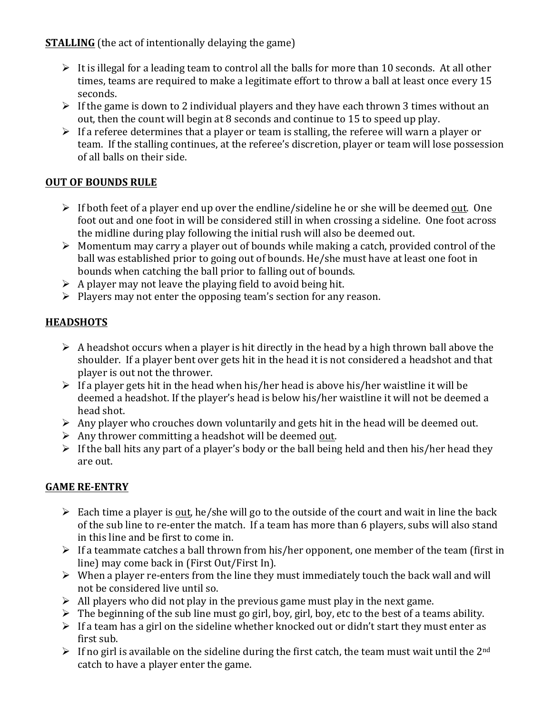**STALLING** (the act of intentionally delaying the game)

- $\triangleright$  It is illegal for a leading team to control all the balls for more than 10 seconds. At all other times, teams are required to make a legitimate effort to throw a ball at least once every 15 seconds.
- $\triangleright$  If the game is down to 2 individual players and they have each thrown 3 times without an out, then the count will begin at 8 seconds and continue to 15 to speed up play.
- $\triangleright$  If a referee determines that a player or team is stalling, the referee will warn a player or team. If the stalling continues, at the referee's discretion, player or team will lose possession of all balls on their side.

# **OUT OF BOUNDS RULE**

- $\triangleright$  If both feet of a player end up over the endline/sideline he or she will be deemed <u>out</u>. One foot out and one foot in will be considered still in when crossing a sideline. One foot across the midline during play following the initial rush will also be deemed out.
- $\triangleright$  Momentum may carry a player out of bounds while making a catch, provided control of the ball was established prior to going out of bounds. He/she must have at least one foot in bounds when catching the ball prior to falling out of bounds.
- $\triangleright$  A player may not leave the playing field to avoid being hit.
- $\triangleright$  Players may not enter the opposing team's section for any reason.

# **HEADSHOTS**

- $\triangleright$  A headshot occurs when a player is hit directly in the head by a high thrown ball above the shoulder. If a player bent over gets hit in the head it is not considered a headshot and that player is out not the thrower.
- $\triangleright$  If a player gets hit in the head when his/her head is above his/her waistline it will be deemed a headshot. If the player's head is below his/her waistline it will not be deemed a head shot.
- $\triangleright$  Any player who crouches down voluntarily and gets hit in the head will be deemed out.
- $\triangleright$  Any thrower committing a headshot will be deemed out.
- $\triangleright$  If the ball hits any part of a player's body or the ball being held and then his/her head they are out.

# **GAME RE-ENTRY**

- $\triangleright$  Each time a player is out, he/she will go to the outside of the court and wait in line the back of the sub line to re-enter the match. If a team has more than 6 players, subs will also stand in this line and be first to come in.
- $\triangleright$  If a teammate catches a ball thrown from his/her opponent, one member of the team (first in line) may come back in (First Out/First In).
- $\triangleright$  When a player re-enters from the line they must immediately touch the back wall and will not be considered live until so.
- $\triangleright$  All players who did not play in the previous game must play in the next game.
- $\triangleright$  The beginning of the sub line must go girl, boy, girl, boy, etc to the best of a teams ability.
- $\triangleright$  If a team has a girl on the sideline whether knocked out or didn't start they must enter as first sub.
- $\triangleright$  If no girl is available on the sideline during the first catch, the team must wait until the 2<sup>nd</sup> catch to have a player enter the game.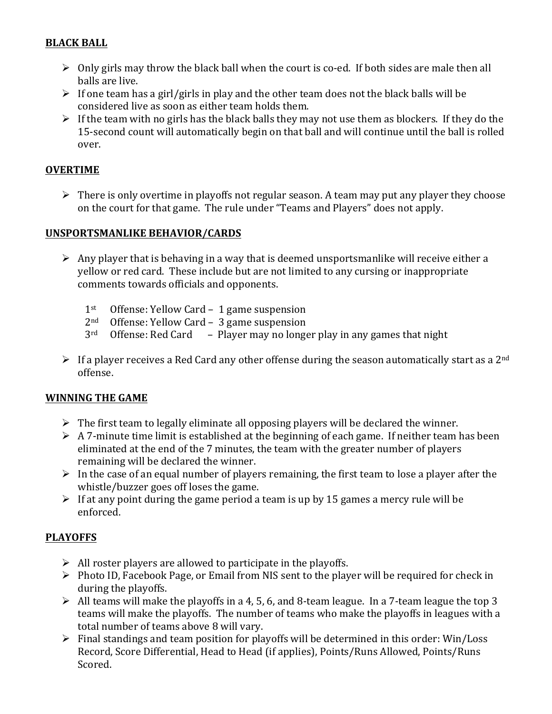### **BLACK BALL**

- $\triangleright$  Only girls may throw the black ball when the court is co-ed. If both sides are male then all balls are live.
- $\triangleright$  If one team has a girl/girls in play and the other team does not the black balls will be considered live as soon as either team holds them.
- $\triangleright$  If the team with no girls has the black balls they may not use them as blockers. If they do the 15-second count will automatically begin on that ball and will continue until the ball is rolled over.

### **OVERTIME**

 $\triangleright$  There is only overtime in playoffs not regular season. A team may put any player they choose on the court for that game. The rule under "Teams and Players" does not apply.

### **UNSPORTSMANLIKE BEHAVIOR/CARDS**

- $\triangleright$  Any player that is behaving in a way that is deemed unsportsmanlike will receive either a yellow or red card. These include but are not limited to any cursing or inappropriate comments towards officials and opponents.
	- $1<sup>st</sup>$  Offense: Yellow Card 1 game suspension
	- $2<sup>nd</sup>$  Offense: Yellow Card 3 game suspension
	- $3<sup>rd</sup>$  Offense: Red Card Player may no longer play in any games that night
- $\triangleright$  If a player receives a Red Card any other offense during the season automatically start as a 2<sup>nd</sup> offense.

#### **WINNING THE GAME**

- $\triangleright$  The first team to legally eliminate all opposing players will be declared the winner.
- $\triangleright$  A 7-minute time limit is established at the beginning of each game. If neither team has been eliminated at the end of the 7 minutes, the team with the greater number of players remaining will be declared the winner.
- $\triangleright$  In the case of an equal number of players remaining, the first team to lose a player after the whistle/buzzer goes off loses the game.
- $\triangleright$  If at any point during the game period a team is up by 15 games a mercy rule will be enforced.

### **PLAYOFFS**

- $\triangleright$  All roster players are allowed to participate in the playoffs.
- $\triangleright$  Photo ID, Facebook Page, or Email from NIS sent to the player will be required for check in during the playoffs.
- $\triangleright$  All teams will make the playoffs in a 4, 5, 6, and 8-team league. In a 7-team league the top 3 teams will make the playoffs. The number of teams who make the playoffs in leagues with a total number of teams above 8 will vary.
- $\triangleright$  Final standings and team position for playoffs will be determined in this order: Win/Loss Record, Score Differential, Head to Head (if applies), Points/Runs Allowed, Points/Runs Scored.